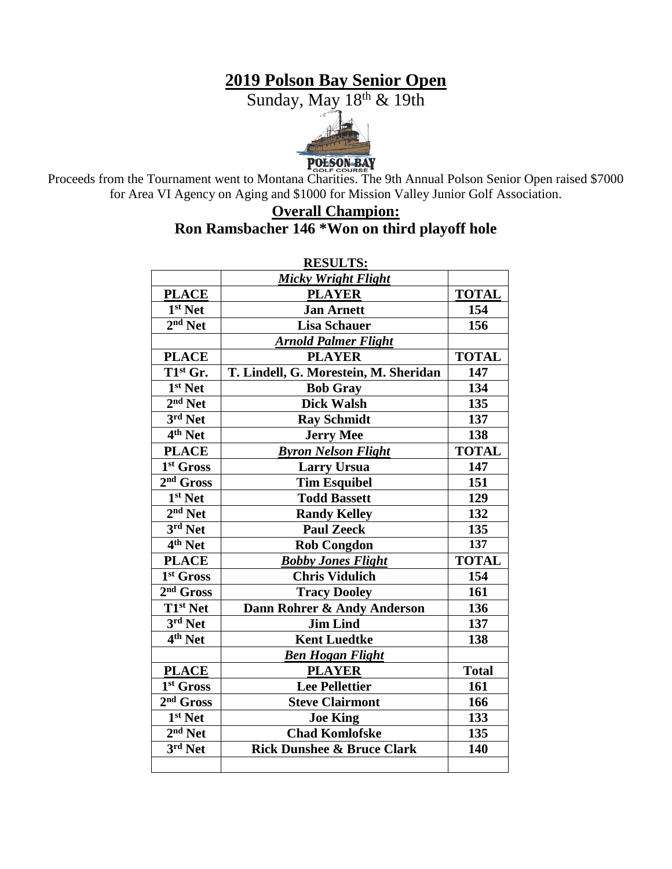# **2019 Polson Bay Senior Open**

Sunday, May 18th & 19th



POLSON BAY<br>Proceeds from the Tournament went to Montana Charities. The 9th Annual Polson Senior Open raised \$7000 for Area VI Agency on Aging and \$1000 for Mission Valley Junior Golf Association.

# **Overall Champion: Ron Ramsbacher 146 \*Won on third playoff hole**

| <b>RESULTS:</b>                |                                       |              |  |  |
|--------------------------------|---------------------------------------|--------------|--|--|
|                                | <b>Micky Wright Flight</b>            |              |  |  |
| <b>PLACE</b>                   | <b>PLAYER</b>                         | <b>TOTAL</b> |  |  |
| 1 <sup>st</sup> Net            | <b>Jan Arnett</b>                     | 154          |  |  |
| $2nd$ Net                      | <b>Lisa Schauer</b>                   | 156          |  |  |
|                                | <b>Arnold Palmer Flight</b>           |              |  |  |
| <b>PLACE</b>                   | <b>PLAYER</b>                         | <b>TOTAL</b> |  |  |
| T1st Gr.                       | T. Lindell, G. Morestein, M. Sheridan | 147          |  |  |
| 1 <sup>st</sup> Net            | <b>Bob Gray</b>                       | 134          |  |  |
| $2nd$ Net                      | <b>Dick Walsh</b>                     | 135          |  |  |
| $3rd$ Net                      | <b>Ray Schmidt</b>                    | 137          |  |  |
| $4th$ Net                      | <b>Jerry Mee</b>                      | 138          |  |  |
| <b>PLACE</b>                   | <b>Byron Nelson Flight</b>            | <b>TOTAL</b> |  |  |
| 1 <sup>st</sup> Gross          | <b>Larry Ursua</b>                    | 147          |  |  |
| $2nd$ Gross                    | <b>Tim Esquibel</b>                   | 151          |  |  |
| $\overline{1}^{\rm st}$ Net    | <b>Todd Bassett</b>                   | 129          |  |  |
| $2nd$ Net                      | <b>Randy Kelley</b>                   | 132          |  |  |
| 3rd Net                        | <b>Paul Zeeck</b>                     | 135          |  |  |
| $\overline{4}^{\text{th}}$ Net | <b>Rob Congdon</b>                    | 137          |  |  |
| <b>PLACE</b>                   | <b>Bobby Jones Flight</b>             | <b>TOTAL</b> |  |  |
| 1 <sup>st</sup> Gross          | <b>Chris Vidulich</b>                 | 154          |  |  |
| $2nd$ Gross                    | <b>Tracy Dooley</b>                   | 161          |  |  |
| T1 <sup>st</sup> Net           | Dann Rohrer & Andy Anderson           | 136          |  |  |
| 3rd Net                        | <b>Jim Lind</b>                       | 137          |  |  |
| $\overline{4^{th}}$ Net        | <b>Kent Luedtke</b>                   | 138          |  |  |
|                                | <b>Ben Hogan Flight</b>               |              |  |  |
| <b>PLACE</b>                   | <b>PLAYER</b>                         | <b>Total</b> |  |  |
| 1st Gross                      | <b>Lee Pellettier</b>                 | 161          |  |  |
| 2 <sup>nd</sup> Gross          | <b>Steve Clairmont</b>                | 166          |  |  |
| 1st Net                        | <b>Joe King</b>                       | 133          |  |  |
| $2nd$ Net                      | <b>Chad Komlofske</b>                 | 135          |  |  |
| $3rd$ Net                      | <b>Rick Dunshee &amp; Bruce Clark</b> | 140          |  |  |
|                                |                                       |              |  |  |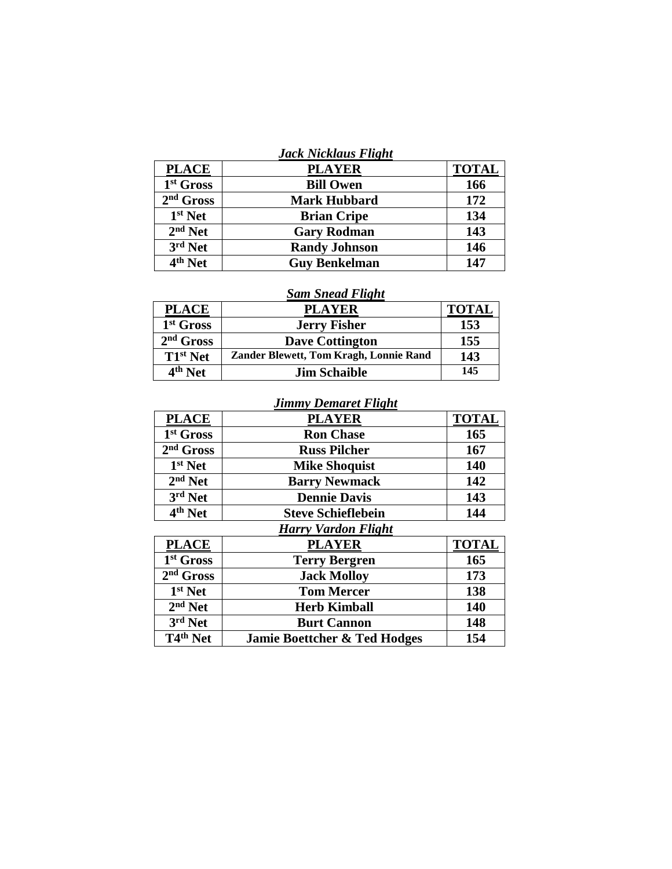|  |  | Jack Nicklaus Flight |  |
|--|--|----------------------|--|
|--|--|----------------------|--|

| <b>PLACE</b> | <b>PLAYER</b>        | <b>TOTAL</b> |
|--------------|----------------------|--------------|
| 1st Gross    | <b>Bill Owen</b>     | 166          |
| $2nd$ Gross  | <b>Mark Hubbard</b>  | 172          |
| $1st$ Net    | <b>Brian Cripe</b>   | 134          |
| $2nd$ Net    | <b>Gary Rodman</b>   | 143          |
| $3rd$ Net    | <b>Randy Johnson</b> | 146          |
| $4th$ Net    | <b>Guy Benkelman</b> | 147          |

### *Sam Snead Flight*

| <b>PLACE</b>          | <b>PLAYER</b>                          | <b>TOTAL</b> |
|-----------------------|----------------------------------------|--------------|
| 1 <sup>st</sup> Gross | <b>Jerry Fisher</b>                    | 153          |
| $2nd$ Gross           | <b>Dave Cottington</b>                 | 155          |
| $T1st$ Net            | Zander Blewett, Tom Kragh, Lonnie Rand | 143          |
| 4 <sup>th</sup> Net   | <b>Jim Schaible</b>                    | 145          |

## *Jimmy Demaret Flight*

| <b>PLACE</b>          | <b>PLAYER</b>              | <b>TOTAL</b> |
|-----------------------|----------------------------|--------------|
| 1 <sup>st</sup> Gross | <b>Ron Chase</b>           | 165          |
| $2nd$ Gross           | <b>Russ Pilcher</b>        | 167          |
| $1st$ Net             | <b>Mike Shoquist</b>       | 140          |
| $2nd$ Net             | <b>Barry Newmack</b>       | 142          |
| 3rd Net               | <b>Dennie Davis</b>        | 143          |
| 4 <sup>th</sup> Net   | <b>Steve Schieflebein</b>  | 144          |
|                       | <b>Harry Vardon Flight</b> |              |

#### **PLACE PLAYER TOTAL** 1<sup>st</sup> Gross **start Terry Bergren 165**<br> **Jack Molloy 173** 2<sup>nd</sup> Gross  $\overline{\text{Jack Molloy}}$ 1st Net **start <b>138 138** 2<sup>nd</sup> Net **nd Net Net Net Net Net 140** 3<sup>rd</sup> Net<br>T4<sup>th</sup> Net *Rurt Cannon* **148 Tamie Boettcher & Ted Hodges** 154